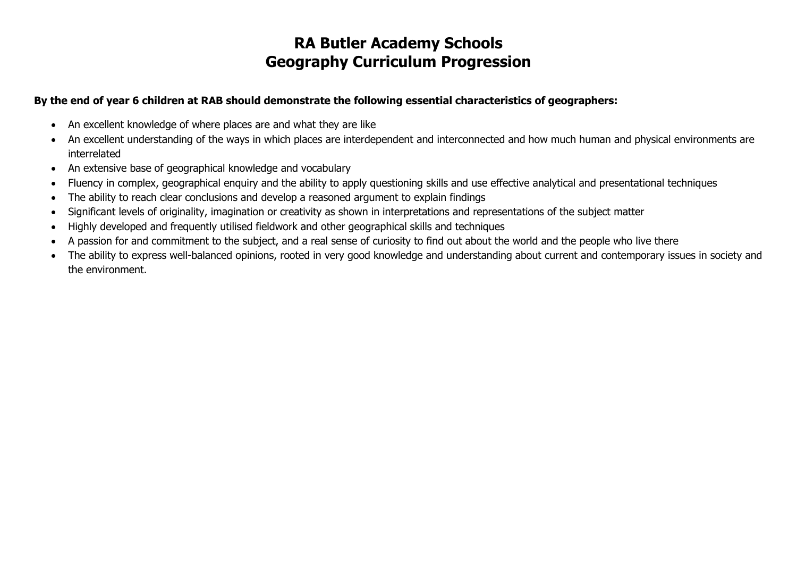#### **By the end of year 6 children at RAB should demonstrate the following essential characteristics of geographers:**

- An excellent knowledge of where places are and what they are like
- An excellent understanding of the ways in which places are interdependent and interconnected and how much human and physical environments are interrelated
- An extensive base of geographical knowledge and vocabulary
- Fluency in complex, geographical enquiry and the ability to apply questioning skills and use effective analytical and presentational techniques
- The ability to reach clear conclusions and develop a reasoned argument to explain findings
- Significant levels of originality, imagination or creativity as shown in interpretations and representations of the subject matter
- Highly developed and frequently utilised fieldwork and other geographical skills and techniques
- A passion for and commitment to the subject, and a real sense of curiosity to find out about the world and the people who live there
- The ability to express well-balanced opinions, rooted in very good knowledge and understanding about current and contemporary issues in society and the environment.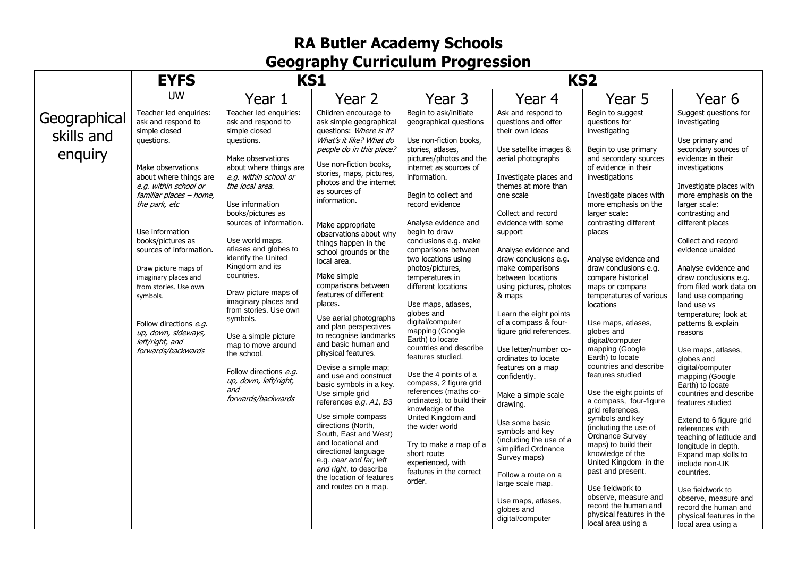|                                       | <b>EYFS</b>                                                                                                                                                                                                                                                                                                                                                                                                                                       | <b>KS1</b>                                                                                                                                                                                                                                                                                                                                                                                                                                                                                                                                                                      |                                                                                                                                                                                                                                                                                                                                                                                                                                                                                                                                                                                                                                                                                                                                                                                                                                                                                                                             | KS <sub>2</sub>                                                                                                                                                                                                                                                                                                                                                                                                                                                                                                                                                                                                                                                                                                                                                                                                      |                                                                                                                                                                                                                                                                                                                                                                                                                                                                                                                                                                                                                                                                                                                                                                                |                                                                                                                                                                                                                                                                                                                                                                                                                                                                                                                                                                                                                                                                                                                                                                                                                                                                                             |                                                                                                                                                                                                                                                                                                                                                                                                                                                                                                                                                                                                                                                                                                                                                                                                                                                                                     |
|---------------------------------------|---------------------------------------------------------------------------------------------------------------------------------------------------------------------------------------------------------------------------------------------------------------------------------------------------------------------------------------------------------------------------------------------------------------------------------------------------|---------------------------------------------------------------------------------------------------------------------------------------------------------------------------------------------------------------------------------------------------------------------------------------------------------------------------------------------------------------------------------------------------------------------------------------------------------------------------------------------------------------------------------------------------------------------------------|-----------------------------------------------------------------------------------------------------------------------------------------------------------------------------------------------------------------------------------------------------------------------------------------------------------------------------------------------------------------------------------------------------------------------------------------------------------------------------------------------------------------------------------------------------------------------------------------------------------------------------------------------------------------------------------------------------------------------------------------------------------------------------------------------------------------------------------------------------------------------------------------------------------------------------|----------------------------------------------------------------------------------------------------------------------------------------------------------------------------------------------------------------------------------------------------------------------------------------------------------------------------------------------------------------------------------------------------------------------------------------------------------------------------------------------------------------------------------------------------------------------------------------------------------------------------------------------------------------------------------------------------------------------------------------------------------------------------------------------------------------------|--------------------------------------------------------------------------------------------------------------------------------------------------------------------------------------------------------------------------------------------------------------------------------------------------------------------------------------------------------------------------------------------------------------------------------------------------------------------------------------------------------------------------------------------------------------------------------------------------------------------------------------------------------------------------------------------------------------------------------------------------------------------------------|---------------------------------------------------------------------------------------------------------------------------------------------------------------------------------------------------------------------------------------------------------------------------------------------------------------------------------------------------------------------------------------------------------------------------------------------------------------------------------------------------------------------------------------------------------------------------------------------------------------------------------------------------------------------------------------------------------------------------------------------------------------------------------------------------------------------------------------------------------------------------------------------|-------------------------------------------------------------------------------------------------------------------------------------------------------------------------------------------------------------------------------------------------------------------------------------------------------------------------------------------------------------------------------------------------------------------------------------------------------------------------------------------------------------------------------------------------------------------------------------------------------------------------------------------------------------------------------------------------------------------------------------------------------------------------------------------------------------------------------------------------------------------------------------|
|                                       | <b>UW</b>                                                                                                                                                                                                                                                                                                                                                                                                                                         | Year 1                                                                                                                                                                                                                                                                                                                                                                                                                                                                                                                                                                          | Year 2                                                                                                                                                                                                                                                                                                                                                                                                                                                                                                                                                                                                                                                                                                                                                                                                                                                                                                                      | Year 3                                                                                                                                                                                                                                                                                                                                                                                                                                                                                                                                                                                                                                                                                                                                                                                                               | Year 4                                                                                                                                                                                                                                                                                                                                                                                                                                                                                                                                                                                                                                                                                                                                                                         | Year 5                                                                                                                                                                                                                                                                                                                                                                                                                                                                                                                                                                                                                                                                                                                                                                                                                                                                                      | Year 6                                                                                                                                                                                                                                                                                                                                                                                                                                                                                                                                                                                                                                                                                                                                                                                                                                                                              |
| Geographical<br>skills and<br>enquiry | Teacher led enquiries:<br>ask and respond to<br>simple closed<br>questions.<br>Make observations<br>about where things are<br>e.g. within school or<br>familiar places - home,<br>the park, etc<br>Use information<br>books/pictures as<br>sources of information.<br>Draw picture maps of<br>imaginary places and<br>from stories. Use own<br>symbols.<br>Follow directions e.g.<br>up, down, sideways,<br>left/right, and<br>forwards/backwards | Teacher led enquiries:<br>ask and respond to<br>simple closed<br>questions.<br>Make observations<br>about where things are<br>e.g. within school or<br>the local area.<br>Use information<br>books/pictures as<br>sources of information.<br>Use world maps,<br>atlases and globes to<br>identify the United<br>Kingdom and its<br>countries.<br>Draw picture maps of<br>imaginary places and<br>from stories. Use own<br>symbols.<br>Use a simple picture<br>map to move around<br>the school.<br>Follow directions e.g.<br>up, down, left/right,<br>and<br>forwards/backwards | Children encourage to<br>ask simple geographical<br>questions: Where is it?<br>What's it like? What do<br>people do in this place?<br>Use non-fiction books,<br>stories, maps, pictures,<br>photos and the internet<br>as sources of<br>information.<br>Make appropriate<br>observations about why<br>things happen in the<br>school grounds or the<br>local area.<br>Make simple<br>comparisons between<br>features of different<br>places.<br>Use aerial photographs<br>and plan perspectives<br>to recognise landmarks<br>and basic human and<br>physical features.<br>Devise a simple map;<br>and use and construct<br>basic symbols in a key.<br>Use simple grid<br>references e.g. A1, B3<br>Use simple compass<br>directions (North,<br>South, East and West)<br>and locational and<br>directional language<br>e.g. near and far; left<br>and right, to describe<br>the location of features<br>and routes on a map. | Begin to ask/initiate<br>geographical questions<br>Use non-fiction books,<br>stories, atlases,<br>pictures/photos and the<br>internet as sources of<br>information.<br>Begin to collect and<br>record evidence<br>Analyse evidence and<br>begin to draw<br>conclusions e.g. make<br>comparisons between<br>two locations using<br>photos/pictures,<br>temperatures in<br>different locations<br>Use maps, atlases,<br>globes and<br>digital/computer<br>mapping (Google<br>Earth) to locate<br>countries and describe<br>features studied.<br>Use the 4 points of a<br>compass, 2 figure grid<br>references (maths co-<br>ordinates), to build their<br>knowledge of the<br>United Kingdom and<br>the wider world<br>Try to make a map of a<br>short route<br>experienced, with<br>features in the correct<br>order. | Ask and respond to<br>questions and offer<br>their own ideas<br>Use satellite images &<br>aerial photographs<br>Investigate places and<br>themes at more than<br>one scale<br>Collect and record<br>evidence with some<br>support<br>Analyse evidence and<br>draw conclusions e.g.<br>make comparisons<br>between locations<br>using pictures, photos<br>& maps<br>Learn the eight points<br>of a compass & four-<br>figure grid references.<br>Use letter/number co-<br>ordinates to locate<br>features on a map<br>confidently.<br>Make a simple scale<br>drawing.<br>Use some basic<br>symbols and key<br>(including the use of a<br>simplified Ordnance<br>Survey maps)<br>Follow a route on a<br>large scale map.<br>Use maps, atlases,<br>globes and<br>digital/computer | Begin to suggest<br>questions for<br>investigating<br>Begin to use primary<br>and secondary sources<br>of evidence in their<br>investigations<br>Investigate places with<br>more emphasis on the<br>larger scale:<br>contrasting different<br>places<br>Analyse evidence and<br>draw conclusions e.g.<br>compare historical<br>maps or compare<br>temperatures of various<br>locations<br>Use maps, atlases,<br>globes and<br>digital/computer<br>mapping (Google<br>Earth) to locate<br>countries and describe<br>features studied<br>Use the eight points of<br>a compass, four-figure<br>grid references.<br>symbols and key<br>(including the use of<br>Ordnance Survey<br>maps) to build their<br>knowledge of the<br>United Kingdom in the<br>past and present.<br>Use fieldwork to<br>observe, measure and<br>record the human and<br>physical features in the<br>local area using a | Suggest questions for<br>investigating<br>Use primary and<br>secondary sources of<br>evidence in their<br>investigations<br>Investigate places with<br>more emphasis on the<br>larger scale:<br>contrasting and<br>different places<br>Collect and record<br>evidence unaided<br>Analyse evidence and<br>draw conclusions e.g.<br>from filed work data on<br>land use comparing<br>land use vs<br>temperature; look at<br>patterns & explain<br>reasons<br>Use maps, atlases,<br>globes and<br>digital/computer<br>mapping (Google<br>Earth) to locate<br>countries and describe<br>features studied<br>Extend to 6 figure grid<br>references with<br>teaching of latitude and<br>longitude in depth.<br>Expand map skills to<br>include non-UK<br>countries.<br>Use fieldwork to<br>observe, measure and<br>record the human and<br>physical features in the<br>local area using a |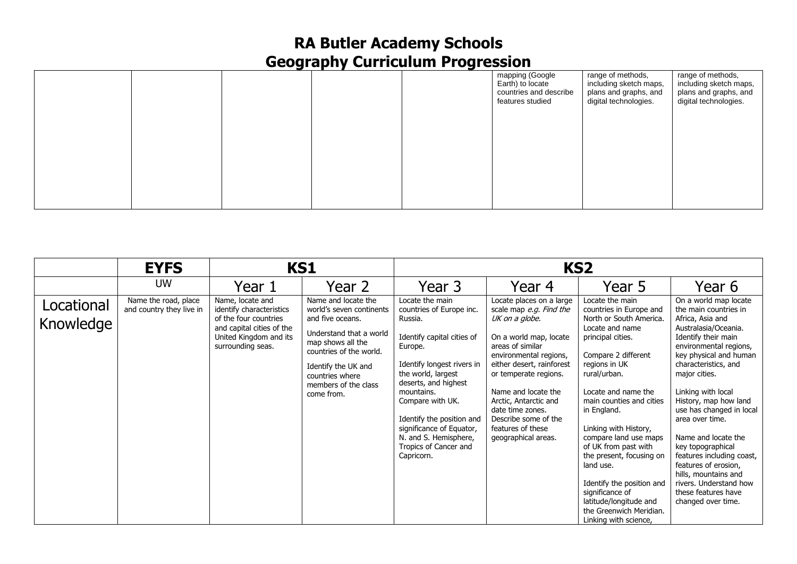|  |  | mapping (Google<br>Earth) to locate<br>countries and describe<br>features studied | range of methods,<br>including sketch maps,<br>plans and graphs, and<br>digital technologies. | range of methods,<br>including sketch maps,<br>plans and graphs, and<br>digital technologies. |
|--|--|-----------------------------------------------------------------------------------|-----------------------------------------------------------------------------------------------|-----------------------------------------------------------------------------------------------|
|  |  |                                                                                   |                                                                                               |                                                                                               |
|  |  |                                                                                   |                                                                                               |                                                                                               |
|  |  |                                                                                   |                                                                                               |                                                                                               |

|                         | <b>EYFS</b>                                      | <b>KS1</b>                                                                                                                                        |                                                                                                                                                                                                                                | KS <sub>2</sub>                                                                                                                                                                                                                                                                                                                        |                                                                                                                                                                                                                                                                                                                                             |                                                                                                                                                                                                                                                                                                                                                                                                                                                                                          |                                                                                                                                                                                                                                                                                                                                                                                                                                                                                                              |
|-------------------------|--------------------------------------------------|---------------------------------------------------------------------------------------------------------------------------------------------------|--------------------------------------------------------------------------------------------------------------------------------------------------------------------------------------------------------------------------------|----------------------------------------------------------------------------------------------------------------------------------------------------------------------------------------------------------------------------------------------------------------------------------------------------------------------------------------|---------------------------------------------------------------------------------------------------------------------------------------------------------------------------------------------------------------------------------------------------------------------------------------------------------------------------------------------|------------------------------------------------------------------------------------------------------------------------------------------------------------------------------------------------------------------------------------------------------------------------------------------------------------------------------------------------------------------------------------------------------------------------------------------------------------------------------------------|--------------------------------------------------------------------------------------------------------------------------------------------------------------------------------------------------------------------------------------------------------------------------------------------------------------------------------------------------------------------------------------------------------------------------------------------------------------------------------------------------------------|
|                         | <b>UW</b>                                        | Year 1                                                                                                                                            | Year 2                                                                                                                                                                                                                         | Year 3                                                                                                                                                                                                                                                                                                                                 | Year 4                                                                                                                                                                                                                                                                                                                                      | Year 5                                                                                                                                                                                                                                                                                                                                                                                                                                                                                   | Year 6                                                                                                                                                                                                                                                                                                                                                                                                                                                                                                       |
| Locational<br>Knowledge | Name the road, place<br>and country they live in | Name, locate and<br>identify characteristics<br>of the four countries<br>and capital cities of the<br>United Kingdom and its<br>surrounding seas. | Name and locate the<br>world's seven continents<br>and five oceans.<br>Understand that a world<br>map shows all the<br>countries of the world.<br>Identify the UK and<br>countries where<br>members of the class<br>come from. | Locate the main<br>countries of Europe inc.<br>Russia.<br>Identify capital cities of<br>Europe.<br>Identify longest rivers in<br>the world, largest<br>deserts, and highest<br>mountains.<br>Compare with UK.<br>Identify the position and<br>significance of Equator,<br>N. and S. Hemisphere,<br>Tropics of Cancer and<br>Capricorn. | Locate places on a large<br>scale map e.g. Find the<br>UK on a globe.<br>On a world map, locate<br>areas of similar<br>environmental regions,<br>either desert, rainforest<br>or temperate regions.<br>Name and locate the<br>Arctic, Antarctic and<br>date time zones.<br>Describe some of the<br>features of these<br>geographical areas. | Locate the main<br>countries in Europe and<br>North or South America.<br>Locate and name<br>principal cities.<br>Compare 2 different<br>regions in UK<br>rural/urban.<br>Locate and name the<br>main counties and cities<br>in England.<br>Linking with History,<br>compare land use maps<br>of UK from past with<br>the present, focusing on<br>land use.<br>Identify the position and<br>significance of<br>latitude/longitude and<br>the Greenwich Meridian.<br>Linking with science, | On a world map locate<br>the main countries in<br>Africa, Asia and<br>Australasia/Oceania.<br>Identify their main<br>environmental regions,<br>key physical and human<br>characteristics, and<br>major cities.<br>Linking with local<br>History, map how land<br>use has changed in local<br>area over time.<br>Name and locate the<br>key topographical<br>features including coast,<br>features of erosion,<br>hills, mountains and<br>rivers. Understand how<br>these features have<br>changed over time. |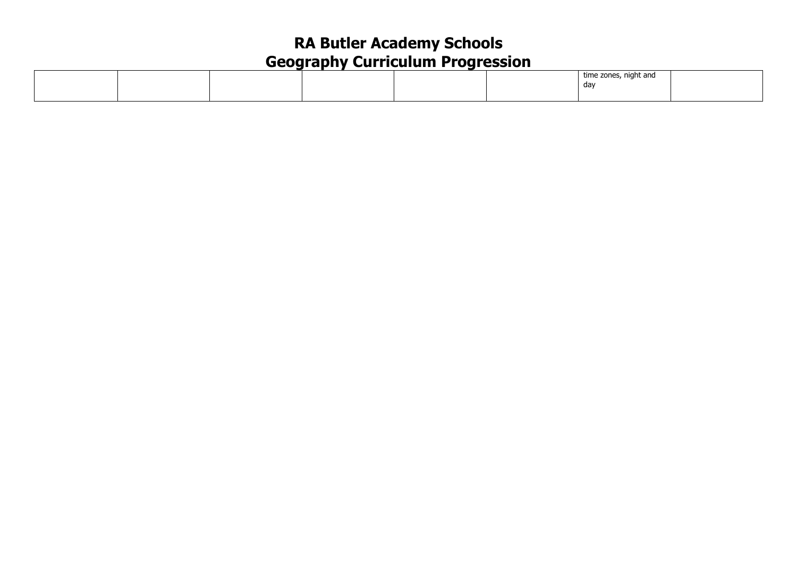|  |  |  | time zones, night and |  |
|--|--|--|-----------------------|--|
|  |  |  | dav                   |  |
|  |  |  |                       |  |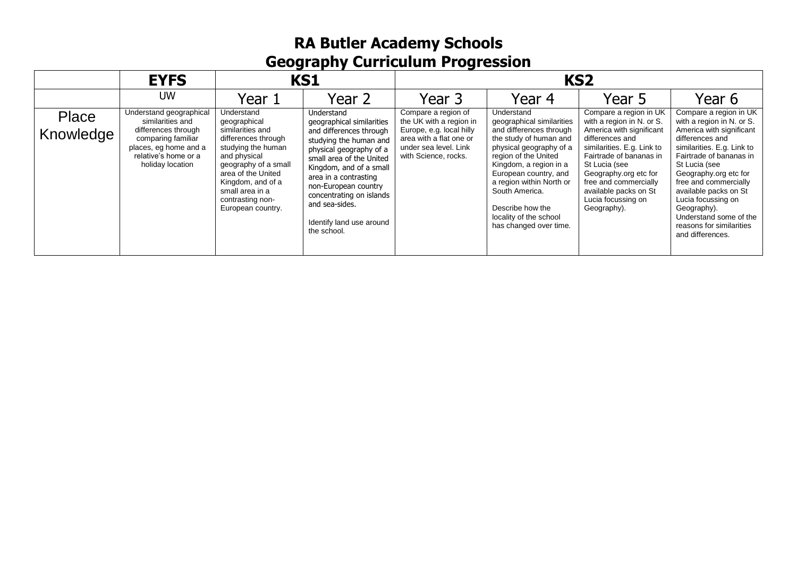|                    | <b>EYFS</b>                                                                                                                                                   | <b>KS1</b>                                                                                                                                                                                                                                 |                                                                                                                                                                                                                                                                                                                          |                                                                                                                                                        | KS <sub>2</sub>                                                                                                                                                                                                                                                                                                          |                                                                                                                                                                                                                                                                                              |                                                                                                                                                                                                                                                                                                                                                                        |  |
|--------------------|---------------------------------------------------------------------------------------------------------------------------------------------------------------|--------------------------------------------------------------------------------------------------------------------------------------------------------------------------------------------------------------------------------------------|--------------------------------------------------------------------------------------------------------------------------------------------------------------------------------------------------------------------------------------------------------------------------------------------------------------------------|--------------------------------------------------------------------------------------------------------------------------------------------------------|--------------------------------------------------------------------------------------------------------------------------------------------------------------------------------------------------------------------------------------------------------------------------------------------------------------------------|----------------------------------------------------------------------------------------------------------------------------------------------------------------------------------------------------------------------------------------------------------------------------------------------|------------------------------------------------------------------------------------------------------------------------------------------------------------------------------------------------------------------------------------------------------------------------------------------------------------------------------------------------------------------------|--|
|                    | <b>UW</b>                                                                                                                                                     | Year 1                                                                                                                                                                                                                                     | Year 2                                                                                                                                                                                                                                                                                                                   | Year 3                                                                                                                                                 | Year 4                                                                                                                                                                                                                                                                                                                   | Year 5                                                                                                                                                                                                                                                                                       | Year 6                                                                                                                                                                                                                                                                                                                                                                 |  |
| Place<br>Knowledge | Understand geographical<br>similarities and<br>differences through<br>comparing familiar<br>places, eg home and a<br>relative's home or a<br>holiday location | Understand<br>geographical<br>similarities and<br>differences through<br>studying the human<br>and physical<br>geography of a small<br>area of the United<br>Kingdom, and of a<br>small area in a<br>contrasting non-<br>European country. | Understand<br>geographical similarities<br>and differences through<br>studying the human and<br>physical geography of a<br>small area of the United<br>Kingdom, and of a small<br>area in a contrasting<br>non-European country<br>concentrating on islands<br>and sea-sides.<br>Identify land use around<br>the school. | Compare a region of<br>the UK with a region in<br>Europe, e.g. local hilly<br>area with a flat one or<br>under sea level. Link<br>with Science, rocks. | Understand<br>geographical similarities<br>and differences through<br>the study of human and<br>physical geography of a<br>region of the United<br>Kingdom, a region in a<br>European country, and<br>a region within North or<br>South America.<br>Describe how the<br>locality of the school<br>has changed over time. | Compare a region in UK<br>with a region in N. or S.<br>America with significant<br>differences and<br>similarities. E.g. Link to<br>Fairtrade of bananas in<br>St Lucia (see<br>Geography.org etc for<br>free and commercially<br>available packs on St<br>Lucia focussing on<br>Geography). | Compare a region in UK<br>with a region in N. or S.<br>America with significant<br>differences and<br>similarities. E.g. Link to<br>Fairtrade of bananas in<br>St Lucia (see<br>Geography.org etc for<br>free and commercially<br>available packs on St<br>Lucia focussing on<br>Geography).<br>Understand some of the<br>reasons for similarities<br>and differences. |  |